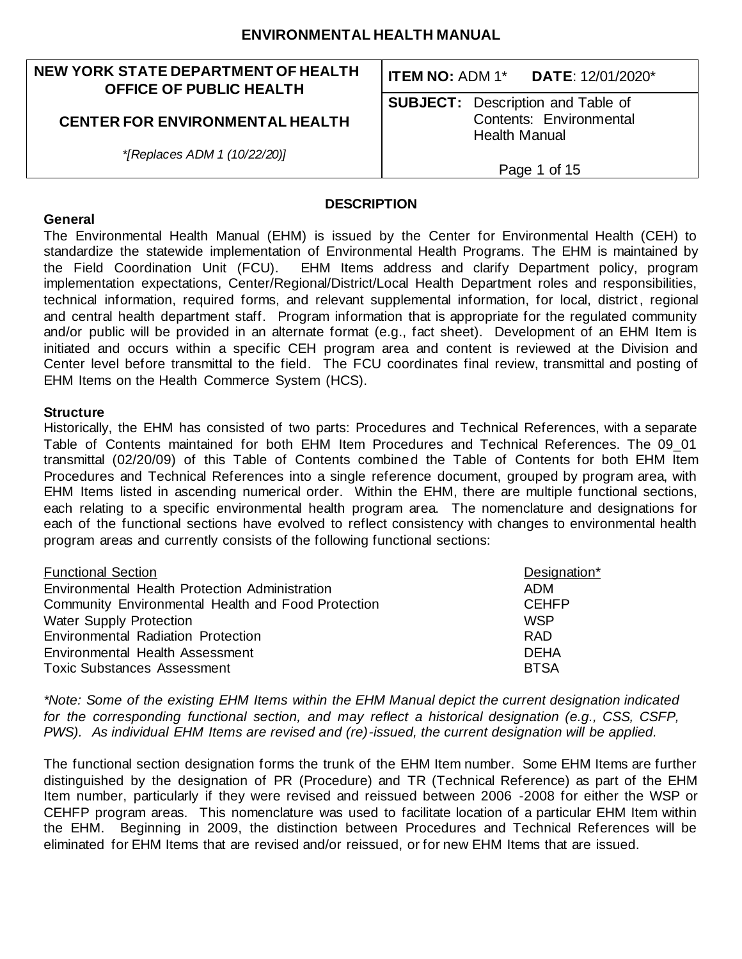#### **NEW YORK STATE DEPARTMENT OF HEALTH OFFICE OF PUBLIC HEALTH**

#### **CENTER FOR ENVIRONMENTAL HEALTH**

*\*[Replaces ADM 1 (10/22/20)]*

**ITEM NO:** ADM 1\* **DATE**: 12/01/2020\*

**SUBJECT:** Description and Table of Contents: Environmental Health Manual

Page 1 of 15

#### **DESCRIPTION**

#### **General**

The Environmental Health Manual (EHM) is issued by the Center for Environmental Health (CEH) to standardize the statewide implementation of Environmental Health Programs. The EHM is maintained by the Field Coordination Unit (FCU). EHM Items address and clarify Department policy, program implementation expectations, Center/Regional/District/Local Health Department roles and responsibilities, technical information, required forms, and relevant supplemental information, for local, district , regional and central health department staff. Program information that is appropriate for the regulated community and/or public will be provided in an alternate format (e.g., fact sheet). Development of an EHM Item is initiated and occurs within a specific CEH program area and content is reviewed at the Division and Center level before transmittal to the field. The FCU coordinates final review, transmittal and posting of EHM Items on the Health Commerce System (HCS).

#### **Structure**

Historically, the EHM has consisted of two parts: Procedures and Technical References, with a separate Table of Contents maintained for both EHM Item Procedures and Technical References. The 09\_01 transmittal (02/20/09) of this Table of Contents combined the Table of Contents for both EHM Item Procedures and Technical References into a single reference document, grouped by program area, with EHM Items listed in ascending numerical order. Within the EHM, there are multiple functional sections, each relating to a specific environmental health program area. The nomenclature and designations for each of the functional sections have evolved to reflect consistency with changes to environmental health program areas and currently consists of the following functional sections:

| Designation* |
|--------------|
| ADM          |
| <b>CEHFP</b> |
| <b>WSP</b>   |
| <b>RAD</b>   |
| <b>DEHA</b>  |
| <b>BTSA</b>  |
|              |

*\*Note: Some of the existing EHM Items within the EHM Manual depict the current designation indicated for the corresponding functional section, and may reflect a historical designation (e.g., CSS, CSFP, PWS). As individual EHM Items are revised and (re)-issued, the current designation will be applied.*

The functional section designation forms the trunk of the EHM Item number. Some EHM Items are further distinguished by the designation of PR (Procedure) and TR (Technical Reference) as part of the EHM Item number, particularly if they were revised and reissued between 2006 -2008 for either the WSP or CEHFP program areas. This nomenclature was used to facilitate location of a particular EHM Item within the EHM. Beginning in 2009, the distinction between Procedures and Technical References will be eliminated for EHM Items that are revised and/or reissued, or for new EHM Items that are issued.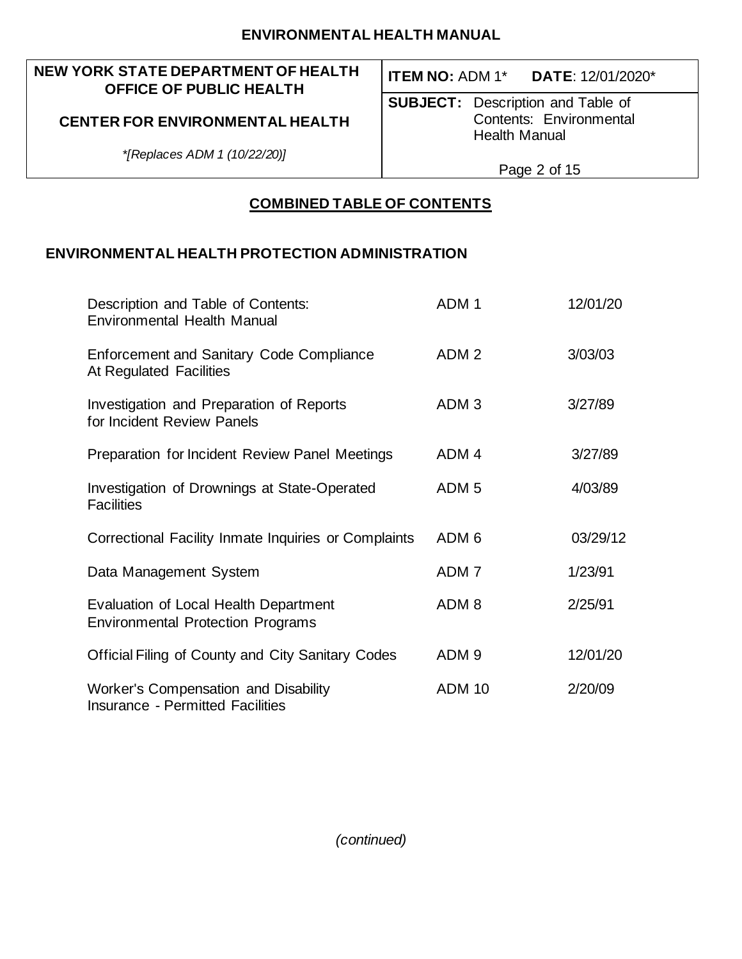## **NEW YORK STATE DEPARTMENT OF HEALTH OFFICE OF PUBLIC HEALTH**

# **ITEM NO:** ADM 1\* **DATE**: 12/01/2020\*

**SUBJECT:** Description and Table of Contents: Environmental Health Manual

*\*[Replaces ADM 1 (10/22/20)]*

**CENTER FOR ENVIRONMENTAL HEALTH**

## Page 2 of 15

# **COMBINED TABLE OF CONTENTS**

# **ENVIRONMENTAL HEALTH PROTECTION ADMINISTRATION**

| Description and Table of Contents:<br><b>Environmental Health Manual</b>          | ADM <sub>1</sub> | 12/01/20 |
|-----------------------------------------------------------------------------------|------------------|----------|
| <b>Enforcement and Sanitary Code Compliance</b><br>At Regulated Facilities        | ADM <sub>2</sub> | 3/03/03  |
| Investigation and Preparation of Reports<br>for Incident Review Panels            | ADM <sub>3</sub> | 3/27/89  |
| Preparation for Incident Review Panel Meetings                                    | ADM <sub>4</sub> | 3/27/89  |
| Investigation of Drownings at State-Operated<br><b>Facilities</b>                 | ADM <sub>5</sub> | 4/03/89  |
| Correctional Facility Inmate Inquiries or Complaints                              | ADM 6            | 03/29/12 |
| Data Management System                                                            | ADM <sub>7</sub> | 1/23/91  |
| Evaluation of Local Health Department<br><b>Environmental Protection Programs</b> | ADM <sub>8</sub> | 2/25/91  |
| <b>Official Filing of County and City Sanitary Codes</b>                          | ADM <sub>9</sub> | 12/01/20 |
| Worker's Compensation and Disability<br><b>Insurance - Permitted Facilities</b>   | <b>ADM 10</b>    | 2/20/09  |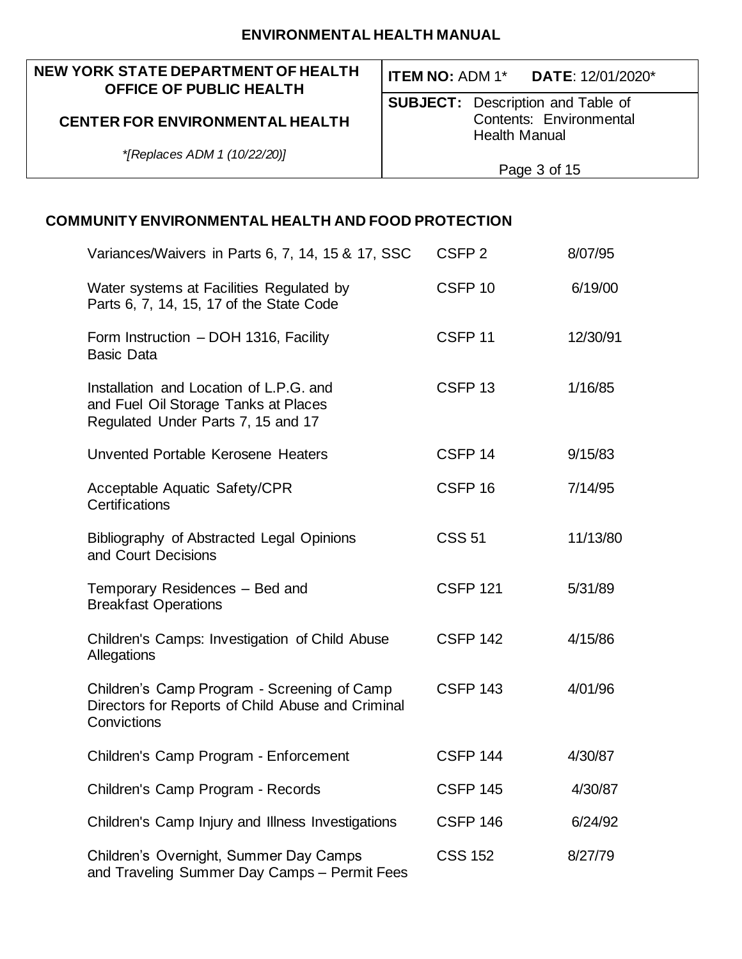## **NEW YORK STATE DEPARTMENT OF HEALTH OFFICE OF PUBLIC HEALTH**

## **CENTER FOR ENVIRONMENTAL HEALTH**

*\*[Replaces ADM 1 (10/22/20)]*

# **ITEM NO:** ADM 1\* **DATE**: 12/01/2020\*

**SUBJECT:** Description and Table of Contents: Environmental Health Manual

Page 3 of 15

| Variances/Waivers in Parts 6, 7, 14, 15 & 17, SSC                                                                     | CSFP <sub>2</sub>  | 8/07/95  |
|-----------------------------------------------------------------------------------------------------------------------|--------------------|----------|
| Water systems at Facilities Regulated by<br>Parts 6, 7, 14, 15, 17 of the State Code                                  | CSFP <sub>10</sub> | 6/19/00  |
| Form Instruction - DOH 1316, Facility<br><b>Basic Data</b>                                                            | CSFP <sub>11</sub> | 12/30/91 |
| Installation and Location of L.P.G. and<br>and Fuel Oil Storage Tanks at Places<br>Regulated Under Parts 7, 15 and 17 | CSFP <sub>13</sub> | 1/16/85  |
| Unvented Portable Kerosene Heaters                                                                                    | CSFP <sub>14</sub> | 9/15/83  |
| Acceptable Aquatic Safety/CPR<br>Certifications                                                                       | CSFP <sub>16</sub> | 7/14/95  |
| Bibliography of Abstracted Legal Opinions<br>and Court Decisions                                                      | <b>CSS 51</b>      | 11/13/80 |
| Temporary Residences - Bed and<br><b>Breakfast Operations</b>                                                         | <b>CSFP 121</b>    | 5/31/89  |
| Children's Camps: Investigation of Child Abuse<br>Allegations                                                         | <b>CSFP 142</b>    | 4/15/86  |
| Children's Camp Program - Screening of Camp<br>Directors for Reports of Child Abuse and Criminal<br>Convictions       | <b>CSFP 143</b>    | 4/01/96  |
| Children's Camp Program - Enforcement                                                                                 | <b>CSFP 144</b>    | 4/30/87  |
| Children's Camp Program - Records                                                                                     | <b>CSFP 145</b>    | 4/30/87  |
| Children's Camp Injury and Illness Investigations                                                                     | <b>CSFP 146</b>    | 6/24/92  |
| Children's Overnight, Summer Day Camps<br>and Traveling Summer Day Camps - Permit Fees                                | <b>CSS 152</b>     | 8/27/79  |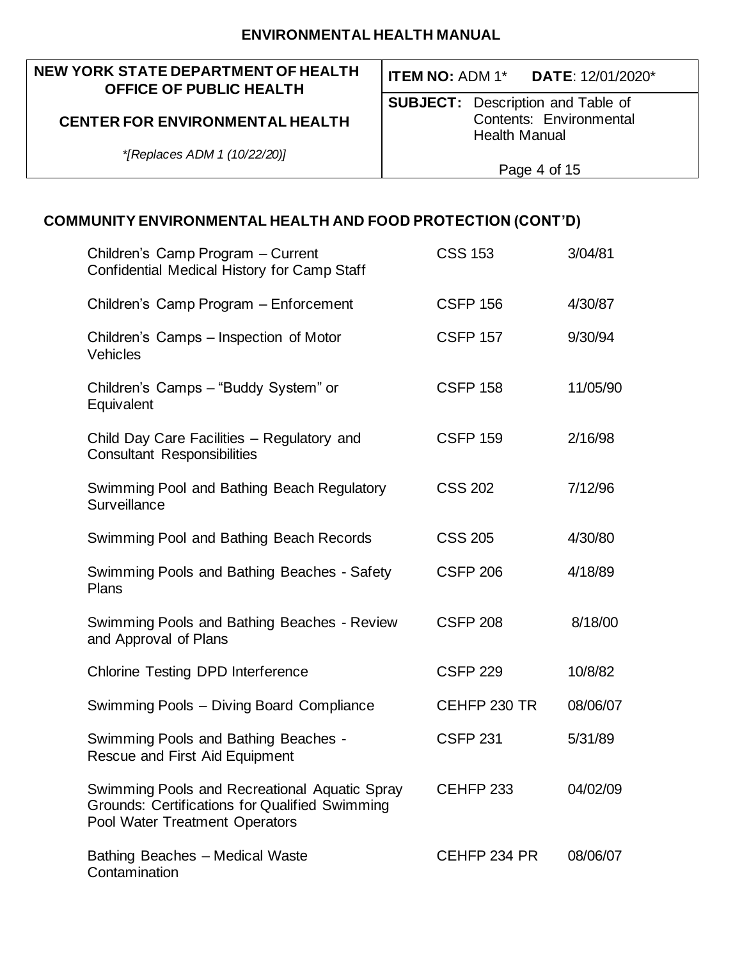#### **NEW YORK STATE DEPARTMENT OF HEALTH OFFICE OF PUBLIC HEALTH**

## **CENTER FOR ENVIRONMENTAL HEALTH**

**ITEM NO:** ADM 1\* **DATE**: 12/01/2020\*

**SUBJECT:** Description and Table of Contents: Environmental Health Manual

*\*[Replaces ADM 1 (10/22/20)]*

Page 4 of 15

| Children's Camp Program - Current<br>Confidential Medical History for Camp Staff                                                         | <b>CSS 153</b>  | 3/04/81  |
|------------------------------------------------------------------------------------------------------------------------------------------|-----------------|----------|
| Children's Camp Program - Enforcement                                                                                                    | <b>CSFP 156</b> | 4/30/87  |
| Children's Camps – Inspection of Motor<br>Vehicles                                                                                       | <b>CSFP 157</b> | 9/30/94  |
| Children's Camps - "Buddy System" or<br>Equivalent                                                                                       | <b>CSFP 158</b> | 11/05/90 |
| Child Day Care Facilities - Regulatory and<br><b>Consultant Responsibilities</b>                                                         | <b>CSFP 159</b> | 2/16/98  |
| Swimming Pool and Bathing Beach Regulatory<br>Surveillance                                                                               | <b>CSS 202</b>  | 7/12/96  |
| Swimming Pool and Bathing Beach Records                                                                                                  | <b>CSS 205</b>  | 4/30/80  |
| Swimming Pools and Bathing Beaches - Safety<br>Plans                                                                                     | <b>CSFP 206</b> | 4/18/89  |
| Swimming Pools and Bathing Beaches - Review<br>and Approval of Plans                                                                     | <b>CSFP 208</b> | 8/18/00  |
| <b>Chlorine Testing DPD Interference</b>                                                                                                 | <b>CSFP 229</b> | 10/8/82  |
| Swimming Pools - Diving Board Compliance                                                                                                 | CEHFP 230 TR    | 08/06/07 |
| Swimming Pools and Bathing Beaches -<br>Rescue and First Aid Equipment                                                                   | <b>CSFP 231</b> | 5/31/89  |
| Swimming Pools and Recreational Aquatic Spray<br><b>Grounds: Certifications for Qualified Swimming</b><br>Pool Water Treatment Operators | CEHFP 233       | 04/02/09 |
| <b>Bathing Beaches - Medical Waste</b><br>Contamination                                                                                  | CEHFP 234 PR    | 08/06/07 |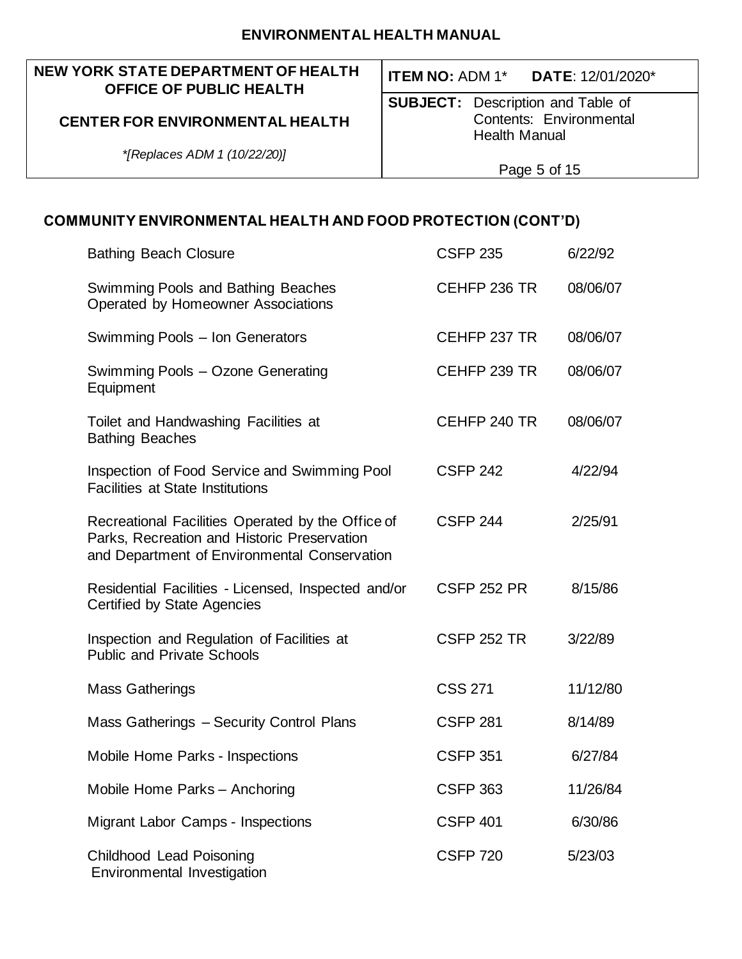#### **NEW YORK STATE DEPARTMENT OF HEALTH OFFICE OF PUBLIC HEALTH**

## **CENTER FOR ENVIRONMENTAL HEALTH**

*\*[Replaces ADM 1 (10/22/20)]*

**ITEM NO:** ADM 1\* **DATE**: 12/01/2020\*

**SUBJECT:** Description and Table of Contents: Environmental Health Manual

Page 5 of 15

| <b>Bathing Beach Closure</b>                                                                                                                     | <b>CSFP 235</b>    | 6/22/92  |
|--------------------------------------------------------------------------------------------------------------------------------------------------|--------------------|----------|
| Swimming Pools and Bathing Beaches<br>Operated by Homeowner Associations                                                                         | CEHFP 236 TR       | 08/06/07 |
| Swimming Pools - Ion Generators                                                                                                                  | CEHFP 237 TR       | 08/06/07 |
| Swimming Pools - Ozone Generating<br>Equipment                                                                                                   | CEHFP 239 TR       | 08/06/07 |
| Toilet and Handwashing Facilities at<br><b>Bathing Beaches</b>                                                                                   | CEHFP 240 TR       | 08/06/07 |
| Inspection of Food Service and Swimming Pool<br><b>Facilities at State Institutions</b>                                                          | <b>CSFP 242</b>    | 4/22/94  |
| Recreational Facilities Operated by the Office of<br>Parks, Recreation and Historic Preservation<br>and Department of Environmental Conservation | <b>CSFP 244</b>    | 2/25/91  |
| Residential Facilities - Licensed, Inspected and/or<br>Certified by State Agencies                                                               | <b>CSFP 252 PR</b> | 8/15/86  |
| Inspection and Regulation of Facilities at<br><b>Public and Private Schools</b>                                                                  | <b>CSFP 252 TR</b> | 3/22/89  |
| <b>Mass Gatherings</b>                                                                                                                           | <b>CSS 271</b>     | 11/12/80 |
| Mass Gatherings - Security Control Plans                                                                                                         | <b>CSFP 281</b>    | 8/14/89  |
| Mobile Home Parks - Inspections                                                                                                                  | <b>CSFP 351</b>    | 6/27/84  |
| Mobile Home Parks - Anchoring                                                                                                                    | <b>CSFP 363</b>    | 11/26/84 |
| <b>Migrant Labor Camps - Inspections</b>                                                                                                         | <b>CSFP 401</b>    | 6/30/86  |
| Childhood Lead Poisoning<br>Environmental Investigation                                                                                          | <b>CSFP 720</b>    | 5/23/03  |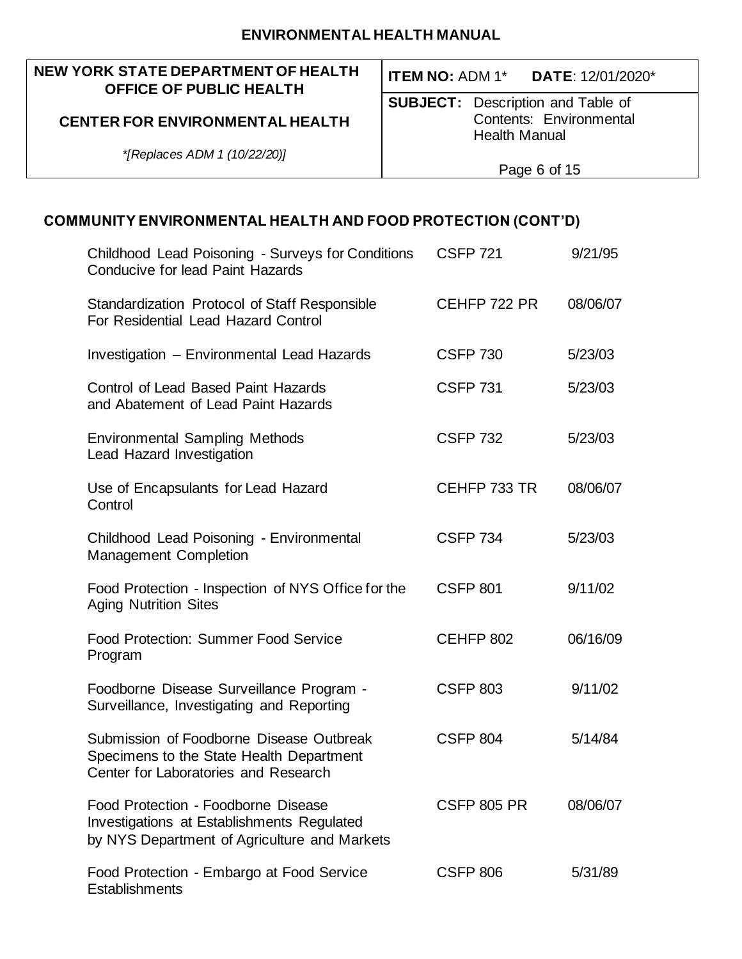## **NEW YORK STATE DEPARTMENT OF HEALTH OFFICE OF PUBLIC HEALTH**

## **CENTER FOR ENVIRONMENTAL HEALTH**

**ITEM NO:** ADM 1\* **DATE**: 12/01/2020\*

**SUBJECT:** Description and Table of Contents: Environmental Health Manual

*\*[Replaces ADM 1 (10/22/20)]*

Page 6 of 15

| Childhood Lead Poisoning - Surveys for Conditions<br><b>Conducive for lead Paint Hazards</b>                                      | <b>CSFP 721</b>    | 9/21/95  |
|-----------------------------------------------------------------------------------------------------------------------------------|--------------------|----------|
| Standardization Protocol of Staff Responsible<br>For Residential Lead Hazard Control                                              | CEHFP 722 PR       | 08/06/07 |
| Investigation - Environmental Lead Hazards                                                                                        | <b>CSFP 730</b>    | 5/23/03  |
| Control of Lead Based Paint Hazards<br>and Abatement of Lead Paint Hazards                                                        | <b>CSFP 731</b>    | 5/23/03  |
| <b>Environmental Sampling Methods</b><br><b>Lead Hazard Investigation</b>                                                         | <b>CSFP 732</b>    | 5/23/03  |
| Use of Encapsulants for Lead Hazard<br>Control                                                                                    | CEHFP 733 TR       | 08/06/07 |
| Childhood Lead Poisoning - Environmental<br><b>Management Completion</b>                                                          | <b>CSFP 734</b>    | 5/23/03  |
| Food Protection - Inspection of NYS Office for the<br><b>Aging Nutrition Sites</b>                                                | <b>CSFP 801</b>    | 9/11/02  |
| <b>Food Protection: Summer Food Service</b><br>Program                                                                            | CEHFP 802          | 06/16/09 |
| Foodborne Disease Surveillance Program -<br>Surveillance, Investigating and Reporting                                             | <b>CSFP 803</b>    | 9/11/02  |
| Submission of Foodborne Disease Outbreak<br>Specimens to the State Health Department<br>Center for Laboratories and Research      | <b>CSFP 804</b>    | 5/14/84  |
| Food Protection - Foodborne Disease<br>Investigations at Establishments Regulated<br>by NYS Department of Agriculture and Markets | <b>CSFP 805 PR</b> | 08/06/07 |
| Food Protection - Embargo at Food Service<br>Establishments                                                                       | <b>CSFP 806</b>    | 5/31/89  |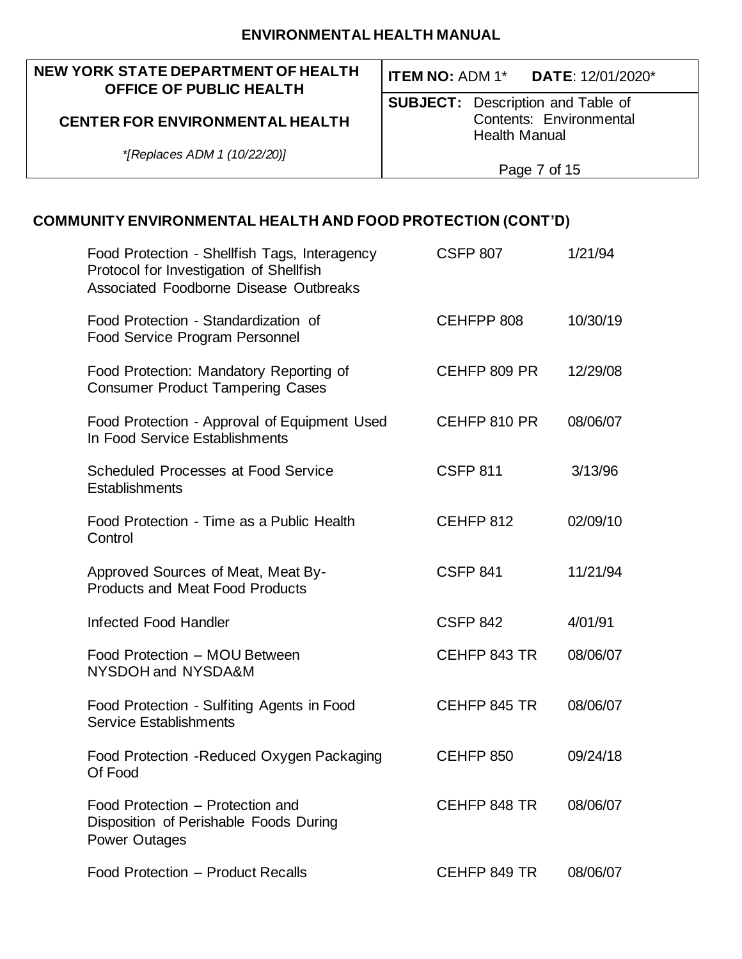#### **NEW YORK STATE DEPARTMENT OF HEALTH OFFICE OF PUBLIC HEALTH**

## **CENTER FOR ENVIRONMENTAL HEALTH**

**ITEM NO:** ADM 1\* **DATE**: 12/01/2020\*

**SUBJECT:** Description and Table of Contents: Environmental Health Manual

*\*[Replaces ADM 1 (10/22/20)]*

Page 7 of 15

| Food Protection - Shellfish Tags, Interagency<br>Protocol for Investigation of Shellfish<br>Associated Foodborne Disease Outbreaks | <b>CSFP 807</b>  | 1/21/94  |
|------------------------------------------------------------------------------------------------------------------------------------|------------------|----------|
| Food Protection - Standardization of<br><b>Food Service Program Personnel</b>                                                      | CEHFPP 808       | 10/30/19 |
| Food Protection: Mandatory Reporting of<br><b>Consumer Product Tampering Cases</b>                                                 | CEHFP 809 PR     | 12/29/08 |
| Food Protection - Approval of Equipment Used<br>In Food Service Establishments                                                     | CEHFP 810 PR     | 08/06/07 |
| <b>Scheduled Processes at Food Service</b><br>Establishments                                                                       | <b>CSFP 811</b>  | 3/13/96  |
| Food Protection - Time as a Public Health<br>Control                                                                               | CEHFP 812        | 02/09/10 |
| Approved Sources of Meat, Meat By-<br><b>Products and Meat Food Products</b>                                                       | <b>CSFP 841</b>  | 11/21/94 |
| <b>Infected Food Handler</b>                                                                                                       | <b>CSFP 842</b>  | 4/01/91  |
| Food Protection - MOU Between<br>NYSDOH and NYSDA&M                                                                                | CEHFP 843 TR     | 08/06/07 |
| Food Protection - Sulfiting Agents in Food<br><b>Service Establishments</b>                                                        | CEHFP 845 TR     | 08/06/07 |
| Food Protection - Reduced Oxygen Packaging<br>Of Food                                                                              | <b>CEHFP 850</b> | 09/24/18 |
| Food Protection - Protection and<br>Disposition of Perishable Foods During<br><b>Power Outages</b>                                 | CEHFP 848 TR     | 08/06/07 |
| Food Protection - Product Recalls                                                                                                  | CEHFP 849 TR     | 08/06/07 |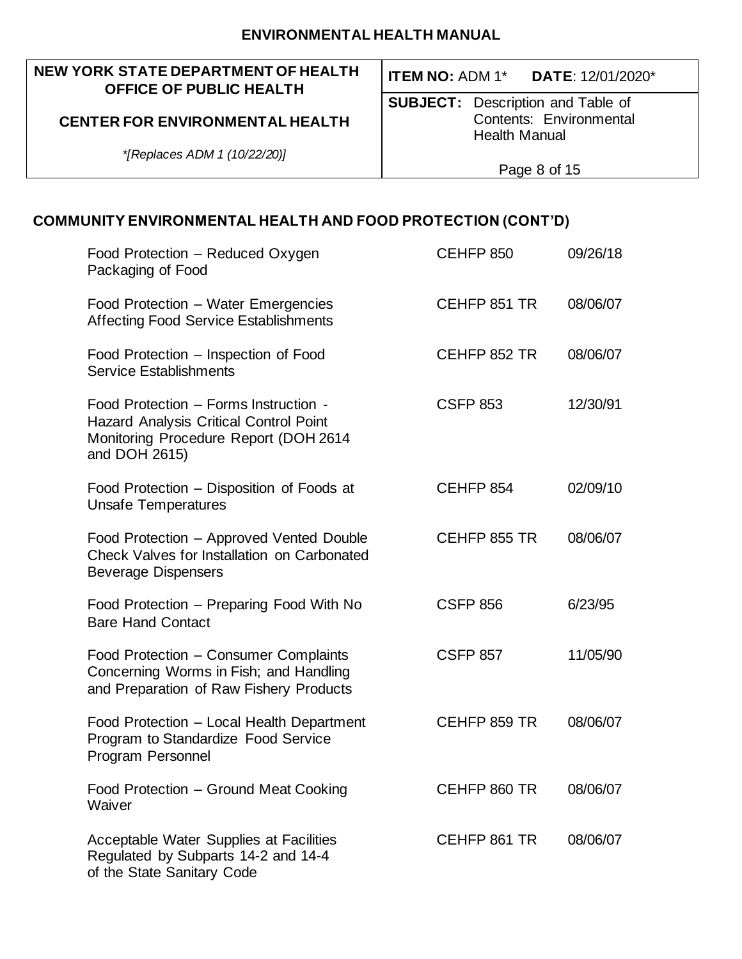#### **NEW YORK STATE DEPARTMENT OF HEALTH OFFICE OF PUBLIC HEALTH**

## **CENTER FOR ENVIRONMENTAL HEALTH**

**ITEM NO:** ADM 1\* **DATE**: 12/01/2020\*

**SUBJECT:** Description and Table of Contents: Environmental Health Manual

*\*[Replaces ADM 1 (10/22/20)]*

Page 8 of 15

| Food Protection - Reduced Oxygen<br>Packaging of Food                                                                                            | <b>CEHFP 850</b> | 09/26/18 |
|--------------------------------------------------------------------------------------------------------------------------------------------------|------------------|----------|
| Food Protection - Water Emergencies<br><b>Affecting Food Service Establishments</b>                                                              | CEHFP 851 TR     | 08/06/07 |
| Food Protection – Inspection of Food<br><b>Service Establishments</b>                                                                            | CEHFP 852 TR     | 08/06/07 |
| Food Protection - Forms Instruction -<br><b>Hazard Analysis Critical Control Point</b><br>Monitoring Procedure Report (DOH 2614<br>and DOH 2615) | <b>CSFP 853</b>  | 12/30/91 |
| Food Protection – Disposition of Foods at<br><b>Unsafe Temperatures</b>                                                                          | CEHFP 854        | 02/09/10 |
| Food Protection - Approved Vented Double<br>Check Valves for Installation on Carbonated<br><b>Beverage Dispensers</b>                            | CEHFP 855 TR     | 08/06/07 |
| Food Protection - Preparing Food With No<br><b>Bare Hand Contact</b>                                                                             | <b>CSFP 856</b>  | 6/23/95  |
| Food Protection - Consumer Complaints<br>Concerning Worms in Fish; and Handling<br>and Preparation of Raw Fishery Products                       | <b>CSFP 857</b>  | 11/05/90 |
| Food Protection - Local Health Department<br>Program to Standardize Food Service<br>Program Personnel                                            | CEHFP 859 TR     | 08/06/07 |
| Food Protection – Ground Meat Cooking<br>Waiver                                                                                                  | CEHFP 860 TR     | 08/06/07 |
| Acceptable Water Supplies at Facilities<br>Regulated by Subparts 14-2 and 14-4<br>of the State Sanitary Code                                     | CEHFP 861 TR     | 08/06/07 |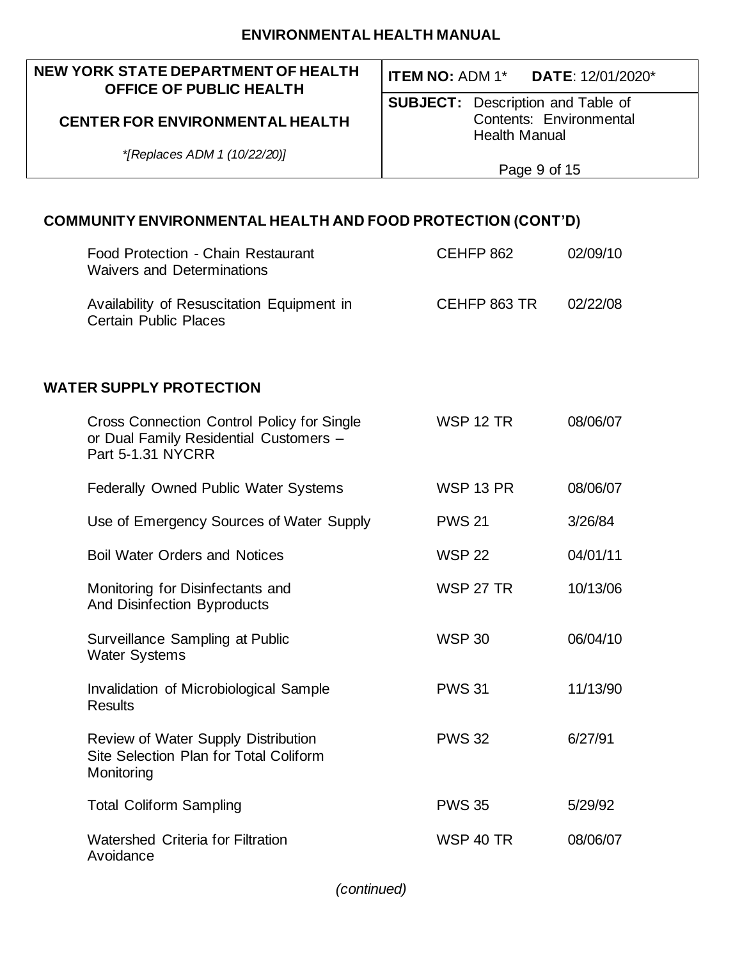#### **NEW YORK STATE DEPARTMENT OF HEALTH OFFICE OF PUBLIC HEALTH**

## **CENTER FOR ENVIRONMENTAL HEALTH**

*\*[Replaces ADM 1 (10/22/20)]*

**ITEM NO:** ADM 1\* **DATE**: 12/01/2020\*

**SUBJECT:** Description and Table of Contents: Environmental Health Manual

Page 9 of 15

## **COMMUNITY ENVIRONMENTAL HEALTH AND FOOD PROTECTION (CONT'D)**

| Food Protection - Chain Restaurant<br><b>Waivers and Determinations</b>                                          | CEHFP 862        | 02/09/10 |
|------------------------------------------------------------------------------------------------------------------|------------------|----------|
| Availability of Resuscitation Equipment in<br><b>Certain Public Places</b>                                       | CEHFP 863 TR     | 02/22/08 |
| <b>WATER SUPPLY PROTECTION</b>                                                                                   |                  |          |
| <b>Cross Connection Control Policy for Single</b><br>or Dual Family Residential Customers -<br>Part 5-1.31 NYCRR | <b>WSP 12 TR</b> | 08/06/07 |
| Federally Owned Public Water Systems                                                                             | <b>WSP 13 PR</b> | 08/06/07 |
| Use of Emergency Sources of Water Supply                                                                         | <b>PWS 21</b>    | 3/26/84  |
| <b>Boil Water Orders and Notices</b>                                                                             | <b>WSP 22</b>    | 04/01/11 |
| Monitoring for Disinfectants and<br><b>And Disinfection Byproducts</b>                                           | <b>WSP 27 TR</b> | 10/13/06 |
| Surveillance Sampling at Public<br><b>Water Systems</b>                                                          | <b>WSP 30</b>    | 06/04/10 |
| Invalidation of Microbiological Sample<br><b>Results</b>                                                         | <b>PWS 31</b>    | 11/13/90 |
| Review of Water Supply Distribution<br>Site Selection Plan for Total Coliform<br>Monitoring                      | <b>PWS 32</b>    | 6/27/91  |
| <b>Total Coliform Sampling</b>                                                                                   | <b>PWS 35</b>    | 5/29/92  |
| <b>Watershed Criteria for Filtration</b><br>Avoidance                                                            | <b>WSP 40 TR</b> | 08/06/07 |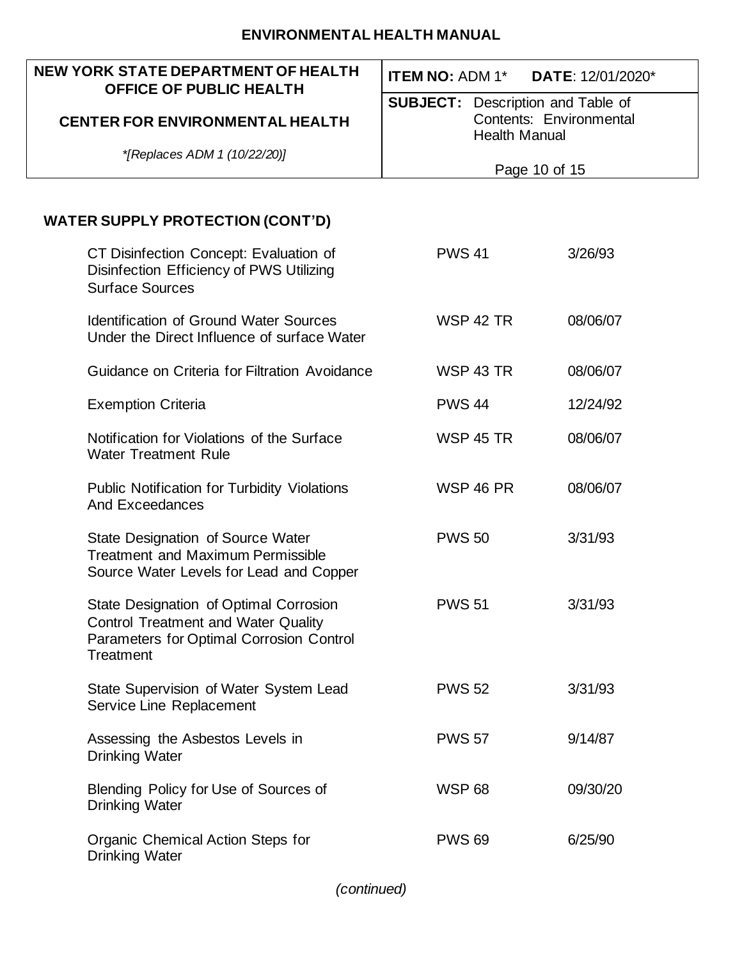| <b>NEW YORK STATE DEPARTMENT OF HEALTH</b><br><b>OFFICE OF PUBLIC HEALTH</b>                                                                         | <b>ITEM NO: ADM 1*</b>                                           | <b>DATE: 12/01/2020*</b> |
|------------------------------------------------------------------------------------------------------------------------------------------------------|------------------------------------------------------------------|--------------------------|
| <b>CENTER FOR ENVIRONMENTAL HEALTH</b>                                                                                                               | <b>SUBJECT:</b> Description and Table of<br><b>Health Manual</b> | Contents: Environmental  |
| *[Replaces ADM 1 (10/22/20)]                                                                                                                         |                                                                  | Page 10 of 15            |
|                                                                                                                                                      |                                                                  |                          |
| <b>WATER SUPPLY PROTECTION (CONT'D)</b>                                                                                                              |                                                                  |                          |
| CT Disinfection Concept: Evaluation of<br>Disinfection Efficiency of PWS Utilizing<br><b>Surface Sources</b>                                         | <b>PWS 41</b>                                                    | 3/26/93                  |
| <b>Identification of Ground Water Sources</b><br>Under the Direct Influence of surface Water                                                         | <b>WSP 42 TR</b>                                                 | 08/06/07                 |
| Guidance on Criteria for Filtration Avoidance                                                                                                        | <b>WSP 43 TR</b>                                                 | 08/06/07                 |
| <b>Exemption Criteria</b>                                                                                                                            | <b>PWS 44</b>                                                    | 12/24/92                 |
| Notification for Violations of the Surface<br><b>Water Treatment Rule</b>                                                                            | <b>WSP 45 TR</b>                                                 | 08/06/07                 |
| <b>Public Notification for Turbidity Violations</b><br><b>And Exceedances</b>                                                                        | <b>WSP 46 PR</b>                                                 | 08/06/07                 |
| State Designation of Source Water<br><b>Treatment and Maximum Permissible</b><br>Source Water Levels for Lead and Copper                             | <b>PWS 50</b>                                                    | 3/31/93                  |
| State Designation of Optimal Corrosion<br><b>Control Treatment and Water Quality</b><br>Parameters for Optimal Corrosion Control<br><b>Treatment</b> | <b>PWS 51</b>                                                    | 3/31/93                  |
| State Supervision of Water System Lead<br>Service Line Replacement                                                                                   | <b>PWS 52</b>                                                    | 3/31/93                  |
| Assessing the Asbestos Levels in<br><b>Drinking Water</b>                                                                                            | <b>PWS 57</b>                                                    | 9/14/87                  |
| Blending Policy for Use of Sources of<br><b>Drinking Water</b>                                                                                       | <b>WSP 68</b>                                                    | 09/30/20                 |
| Organic Chemical Action Steps for<br><b>Drinking Water</b>                                                                                           | <b>PWS 69</b>                                                    | 6/25/90                  |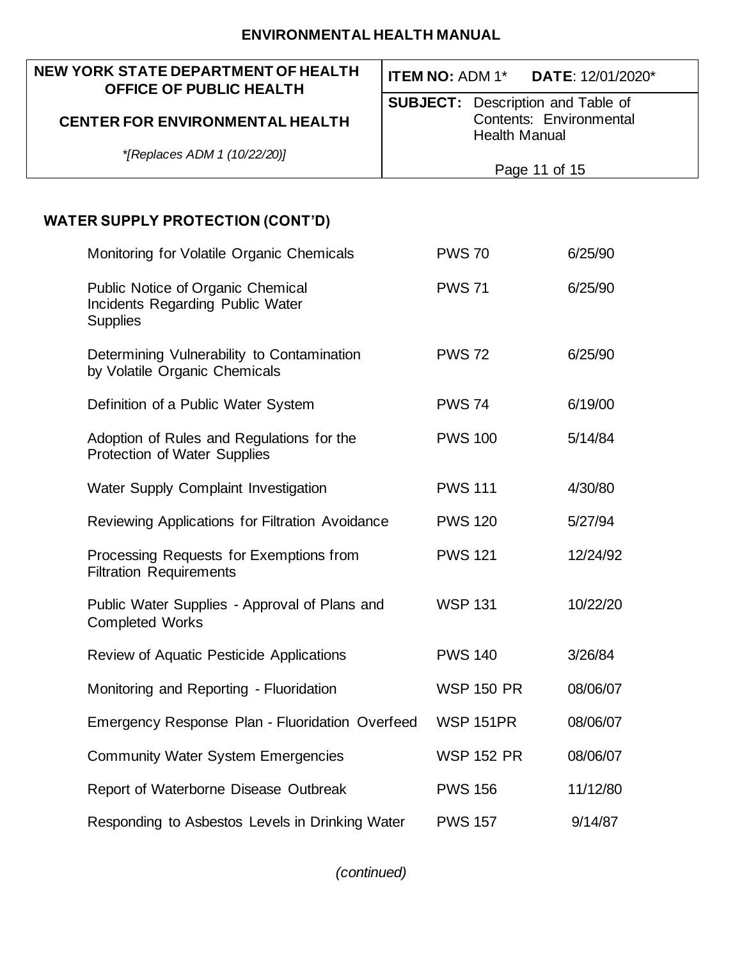| <b>NEW YORK STATE DEPARTMENT OF HEALTH</b><br><b>OFFICE OF PUBLIC HEALTH</b>                    | <b>ITEM NO: ADM 1*</b><br><b>DATE: 12/01/2020*</b> |
|-------------------------------------------------------------------------------------------------|----------------------------------------------------|
|                                                                                                 | <b>SUBJECT:</b> Description and Table of           |
| <b>CENTER FOR ENVIRONMENTAL HEALTH</b>                                                          | Contents: Environmental<br><b>Health Manual</b>    |
| *[Replaces ADM 1 (10/22/20)]                                                                    | Page 11 of 15                                      |
|                                                                                                 |                                                    |
| <b>WATER SUPPLY PROTECTION (CONT'D)</b>                                                         |                                                    |
| Monitoring for Volatile Organic Chemicals                                                       | <b>PWS 70</b><br>6/25/90                           |
| <b>Public Notice of Organic Chemical</b><br>Incidents Regarding Public Water<br><b>Supplies</b> | <b>PWS 71</b><br>6/25/90                           |
| Determining Vulnerability to Contamination<br>by Volatile Organic Chemicals                     | <b>PWS 72</b><br>6/25/90                           |
| Definition of a Public Water System                                                             | <b>PWS 74</b><br>6/19/00                           |
| Adoption of Rules and Regulations for the<br>Protection of Water Supplies                       | <b>PWS 100</b><br>5/14/84                          |
| Water Supply Complaint Investigation                                                            | <b>PWS 111</b><br>4/30/80                          |
| Reviewing Applications for Filtration Avoidance                                                 | <b>PWS 120</b><br>5/27/94                          |
| Processing Requests for Exemptions from<br><b>Filtration Requirements</b>                       | <b>PWS 121</b><br>12/24/92                         |
| Public Water Supplies - Approval of Plans and<br><b>Completed Works</b>                         | <b>WSP 131</b><br>10/22/20                         |
| Review of Aquatic Pesticide Applications                                                        | <b>PWS 140</b><br>3/26/84                          |
| Monitoring and Reporting - Fluoridation                                                         | <b>WSP 150 PR</b><br>08/06/07                      |
| Emergency Response Plan - Fluoridation Overfeed                                                 | <b>WSP 151PR</b><br>08/06/07                       |
| <b>Community Water System Emergencies</b>                                                       | <b>WSP 152 PR</b><br>08/06/07                      |
| Report of Waterborne Disease Outbreak                                                           | <b>PWS 156</b><br>11/12/80                         |
| Responding to Asbestos Levels in Drinking Water                                                 | <b>PWS 157</b><br>9/14/87                          |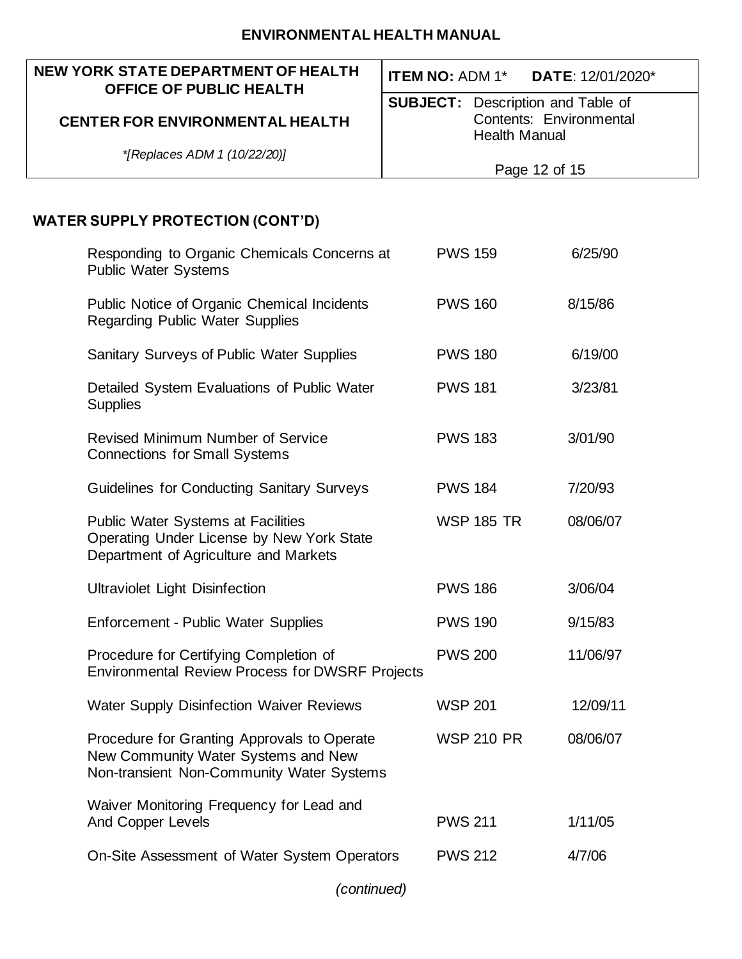| <b>NEW YORK STATE DEPARTMENT OF HEALTH</b>                                                                                      | <b>ITEM NO: ADM 1*</b><br>DATE: 12/01/2020*                                                 |
|---------------------------------------------------------------------------------------------------------------------------------|---------------------------------------------------------------------------------------------|
| <b>OFFICE OF PUBLIC HEALTH</b><br><b>CENTER FOR ENVIRONMENTAL HEALTH</b>                                                        | <b>SUBJECT:</b> Description and Table of<br>Contents: Environmental<br><b>Health Manual</b> |
| *[Replaces ADM 1 (10/22/20)]                                                                                                    | Page 12 of 15                                                                               |
|                                                                                                                                 |                                                                                             |
| <b>WATER SUPPLY PROTECTION (CONT'D)</b>                                                                                         |                                                                                             |
| Responding to Organic Chemicals Concerns at<br><b>Public Water Systems</b>                                                      | <b>PWS 159</b><br>6/25/90                                                                   |
| Public Notice of Organic Chemical Incidents<br><b>Regarding Public Water Supplies</b>                                           | <b>PWS 160</b><br>8/15/86                                                                   |
| Sanitary Surveys of Public Water Supplies                                                                                       | <b>PWS 180</b><br>6/19/00                                                                   |
| Detailed System Evaluations of Public Water<br><b>Supplies</b>                                                                  | <b>PWS 181</b><br>3/23/81                                                                   |
| <b>Revised Minimum Number of Service</b><br><b>Connections for Small Systems</b>                                                | <b>PWS 183</b><br>3/01/90                                                                   |
| <b>Guidelines for Conducting Sanitary Surveys</b>                                                                               | <b>PWS 184</b><br>7/20/93                                                                   |
| <b>Public Water Systems at Facilities</b><br>Operating Under License by New York State<br>Department of Agriculture and Markets | <b>WSP 185 TR</b><br>08/06/07                                                               |
| <b>Ultraviolet Light Disinfection</b>                                                                                           | 3/06/04<br><b>PWS 186</b>                                                                   |
| <b>Enforcement - Public Water Supplies</b>                                                                                      | <b>PWS 190</b><br>9/15/83                                                                   |
| Procedure for Certifying Completion of<br><b>Environmental Review Process for DWSRF Projects</b>                                | <b>PWS 200</b><br>11/06/97                                                                  |
| <b>Water Supply Disinfection Waiver Reviews</b>                                                                                 | <b>WSP 201</b><br>12/09/11                                                                  |
| Procedure for Granting Approvals to Operate<br>New Community Water Systems and New<br>Non-transient Non-Community Water Systems | <b>WSP 210 PR</b><br>08/06/07                                                               |
| Waiver Monitoring Frequency for Lead and<br><b>And Copper Levels</b>                                                            | <b>PWS 211</b><br>1/11/05                                                                   |
| On-Site Assessment of Water System Operators                                                                                    | <b>PWS 212</b><br>4/7/06                                                                    |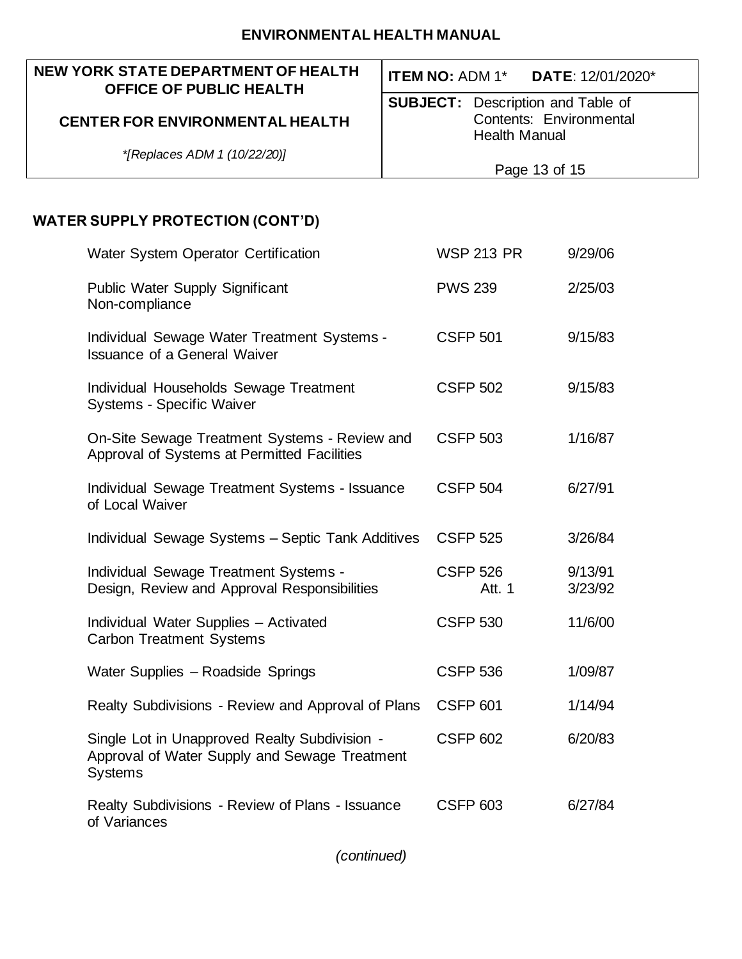#### **NEW YORK STATE DEPARTMENT OF HEALTH OFFICE OF PUBLIC HEALTH CENTER FOR ENVIRONMENTAL HEALTH** *\*[Replaces ADM 1 (10/22/20)]* **ITEM NO:** ADM 1\* **DATE**: 12/01/2020\* **SUBJECT:** Description and Table of Contents: Environmental Health Manual Page 13 of 15 **WATER SUPPLY PROTECTION (CONT'D)**

| Water System Operator Certification                                                                              | <b>WSP 213 PR</b>         | 9/29/06            |
|------------------------------------------------------------------------------------------------------------------|---------------------------|--------------------|
| <b>Public Water Supply Significant</b><br>Non-compliance                                                         | <b>PWS 239</b>            | 2/25/03            |
| Individual Sewage Water Treatment Systems -<br><b>Issuance of a General Waiver</b>                               | <b>CSFP 501</b>           | 9/15/83            |
| Individual Households Sewage Treatment<br><b>Systems - Specific Waiver</b>                                       | <b>CSFP 502</b>           | 9/15/83            |
| On-Site Sewage Treatment Systems - Review and<br>Approval of Systems at Permitted Facilities                     | <b>CSFP 503</b>           | 1/16/87            |
| Individual Sewage Treatment Systems - Issuance<br>of Local Waiver                                                | <b>CSFP 504</b>           | 6/27/91            |
| Individual Sewage Systems - Septic Tank Additives                                                                | <b>CSFP 525</b>           | 3/26/84            |
| Individual Sewage Treatment Systems -<br>Design, Review and Approval Responsibilities                            | <b>CSFP 526</b><br>Att. 1 | 9/13/91<br>3/23/92 |
| Individual Water Supplies - Activated<br><b>Carbon Treatment Systems</b>                                         | <b>CSFP 530</b>           | 11/6/00            |
| Water Supplies - Roadside Springs                                                                                | <b>CSFP 536</b>           | 1/09/87            |
| Realty Subdivisions - Review and Approval of Plans                                                               | <b>CSFP 601</b>           | 1/14/94            |
| Single Lot in Unapproved Realty Subdivision -<br>Approval of Water Supply and Sewage Treatment<br><b>Systems</b> | <b>CSFP 602</b>           | 6/20/83            |
| Realty Subdivisions - Review of Plans - Issuance<br>of Variances                                                 | <b>CSFP 603</b>           | 6/27/84            |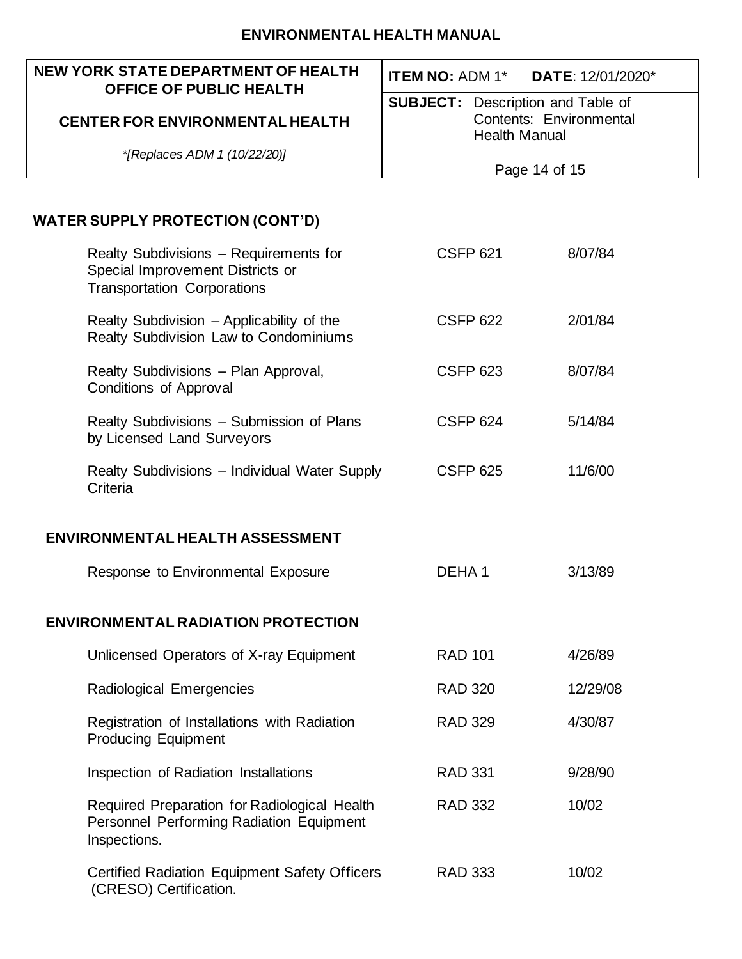| NEW YORK STATE DEPARTMENT OF HEALTH<br><b>OFFICE OF PUBLIC HEALTH</b>                                            | <b>ITEM NO: ADM 1*</b>                          | DATE: 12/01/2020* |
|------------------------------------------------------------------------------------------------------------------|-------------------------------------------------|-------------------|
|                                                                                                                  | <b>SUBJECT:</b> Description and Table of        |                   |
| <b>CENTER FOR ENVIRONMENTAL HEALTH</b>                                                                           | Contents: Environmental<br><b>Health Manual</b> |                   |
| *[Replaces ADM 1 (10/22/20)]                                                                                     |                                                 |                   |
|                                                                                                                  | Page 14 of 15                                   |                   |
|                                                                                                                  |                                                 |                   |
| <b>WATER SUPPLY PROTECTION (CONT'D)</b>                                                                          |                                                 |                   |
| Realty Subdivisions - Requirements for<br>Special Improvement Districts or<br><b>Transportation Corporations</b> | <b>CSFP 621</b>                                 | 8/07/84           |
| Realty Subdivision - Applicability of the<br>Realty Subdivision Law to Condominiums                              | <b>CSFP 622</b>                                 | 2/01/84           |
| Realty Subdivisions - Plan Approval,<br>Conditions of Approval                                                   | <b>CSFP 623</b>                                 | 8/07/84           |
| Realty Subdivisions - Submission of Plans<br>by Licensed Land Surveyors                                          | <b>CSFP 624</b>                                 | 5/14/84           |
| Realty Subdivisions - Individual Water Supply<br>Criteria                                                        | <b>CSFP 625</b>                                 | 11/6/00           |
| <b>ENVIRONMENTAL HEALTH ASSESSMENT</b>                                                                           |                                                 |                   |
| Response to Environmental Exposure                                                                               | DEHA1                                           | 3/13/89           |
| <b>ENVIRONMENTAL RADIATION PROTECTION</b>                                                                        |                                                 |                   |
| Unlicensed Operators of X-ray Equipment                                                                          | <b>RAD 101</b>                                  | 4/26/89           |
| Radiological Emergencies                                                                                         | <b>RAD 320</b>                                  | 12/29/08          |
| Registration of Installations with Radiation<br><b>Producing Equipment</b>                                       | <b>RAD 329</b>                                  | 4/30/87           |
| Inspection of Radiation Installations                                                                            | <b>RAD 331</b>                                  | 9/28/90           |
| Required Preparation for Radiological Health<br>Personnel Performing Radiation Equipment<br>Inspections.         | <b>RAD 332</b>                                  | 10/02             |
| <b>Certified Radiation Equipment Safety Officers</b><br>(CRESO) Certification.                                   | <b>RAD 333</b>                                  | 10/02             |